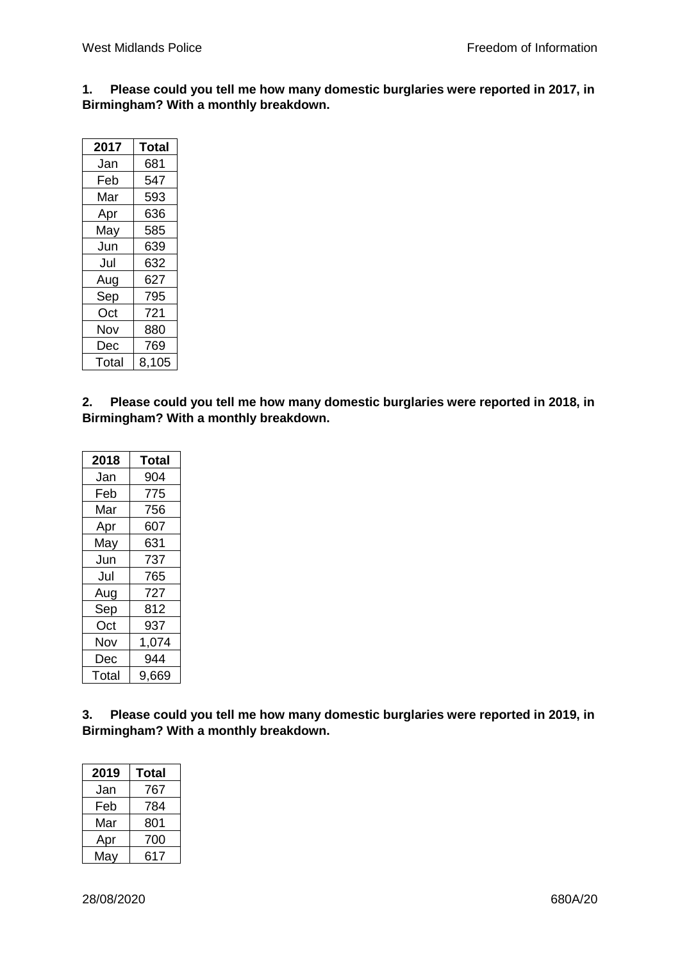**1. Please could you tell me how many domestic burglaries were reported in 2017, in Birmingham? With a monthly breakdown.**

| 2017  | Total |
|-------|-------|
| Jan   | 681   |
| Feb   | 547   |
| Mar   | 593   |
| Apr   | 636   |
| May   | 585   |
| Jun   | 639   |
| Jul   | 632   |
| Aug   | 627   |
| Sep   | 795   |
| Oct   | 721   |
| Nov   | 880   |
| Dec   | 769   |
| Total | 8,105 |

**2. Please could you tell me how many domestic burglaries were reported in 2018, in Birmingham? With a monthly breakdown.**

| 2018  | Total |
|-------|-------|
| Jan   | 904   |
| Feb   | 775   |
| Mar   | 756   |
| Apr   | 607   |
| May   | 631   |
| Jun   | 737   |
| Jul   | 765   |
| Aug   | 727   |
| Sep   | 812   |
| Oct   | 937   |
| Nov   | 1,074 |
| Dec   | 944   |
| Total | 9,669 |

**3. Please could you tell me how many domestic burglaries were reported in 2019, in Birmingham? With a monthly breakdown.**

| 2019 | Total |
|------|-------|
| Jan  | 767   |
| Feb  | 784   |
| Mar  | 801   |
| Apr  | 700   |
| May  | 617   |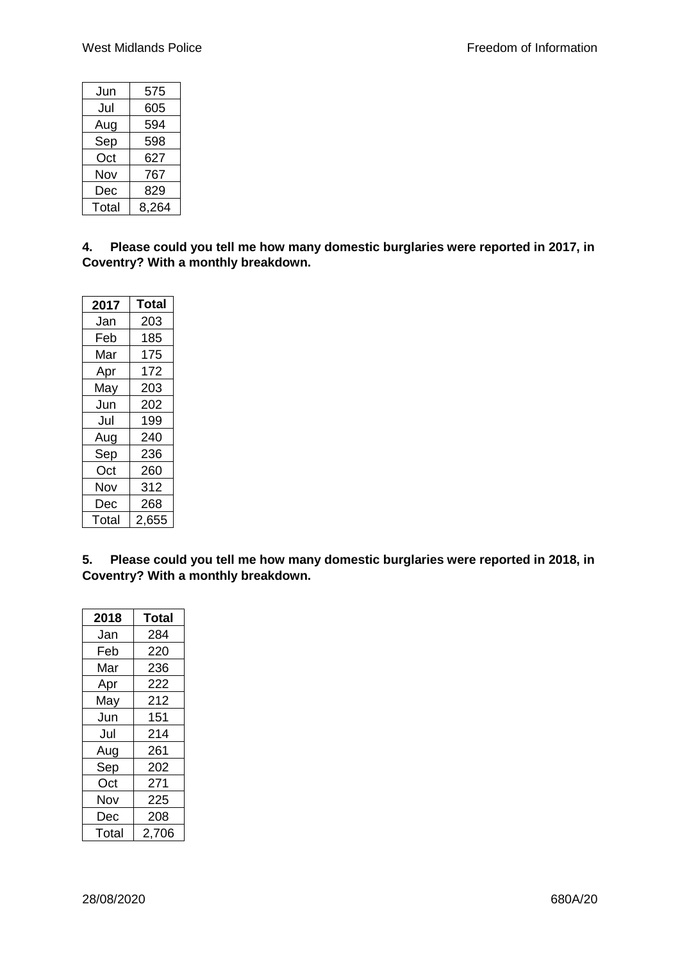| Jun   | 575   |
|-------|-------|
| Jul   | 605   |
| Aug   | 594   |
| Sep   | 598   |
| Oct   | 627   |
| Nov   | 767   |
| Dec   | 829   |
| Total | 8,264 |

**4. Please could you tell me how many domestic burglaries were reported in 2017, in Coventry? With a monthly breakdown.**

| 2017  | <b>Total</b> |
|-------|--------------|
| Jan   | 203          |
| Feb   | 185          |
| Mar   | 175          |
| Apr   | 172          |
| May   | 203          |
| Jun   | 202          |
| Jul   | 199          |
| Aug   | 240          |
| Sep   | 236          |
| Oct   | 260          |
| Nov   | 312          |
| Dec   | 268          |
| Total | 2,655        |

**5. Please could you tell me how many domestic burglaries were reported in 2018, in Coventry? With a monthly breakdown.**

| 2018  | Total |
|-------|-------|
| Jan   | 284   |
| Feb   | 220   |
| Mar   | 236   |
| Apr   | 222   |
| May   | 212   |
| Jun   | 151   |
| Jul   | 214   |
| Aug   | 261   |
| Sep   | 202   |
| Oct   | 271   |
| Nov   | 225   |
| Dec   | 208   |
| Total | 2,706 |